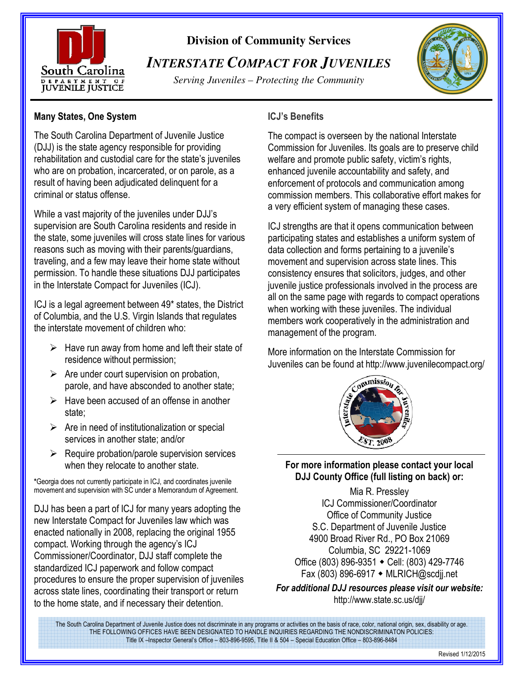

## **Division of Community Services**

# *INTERSTATE COMPACT FOR JUVENILES*

*Serving Juveniles – Protecting the Community* 



#### **Many States, One System**

The South Carolina Department of Juvenile Justice (DJJ) is the state agency responsible for providing rehabilitation and custodial care for the state's juveniles who are on probation, incarcerated, or on parole, as a result of having been adjudicated delinquent for a criminal or status offense.

While a vast majority of the juveniles under DJJ's supervision are South Carolina residents and reside in the state, some juveniles will cross state lines for various reasons such as moving with their parents/guardians, traveling, and a few may leave their home state without permission. To handle these situations DJJ participates in the Interstate Compact for Juveniles (ICJ).

ICJ is a legal agreement between 49\* states, the District of Columbia, and the U.S. Virgin Islands that regulates the interstate movement of children who:

- $\triangleright$  Have run away from home and left their state of residence without permission;
- $\triangleright$  Are under court supervision on probation, parole, and have absconded to another state;
- $\triangleright$  Have been accused of an offense in another state;
- $\triangleright$  Are in need of institutionalization or special services in another state; and/or
- $\triangleright$  Require probation/parole supervision services when they relocate to another state.

**\***Georgia does not currently participate in ICJ, and coordinates juvenile movement and supervision with SC under a Memorandum of Agreement.

DJJ has been a part of ICJ for many years adopting the new Interstate Compact for Juveniles law which was enacted nationally in 2008, replacing the original 1955 compact. Working through the agency's ICJ Commissioner/Coordinator, DJJ staff complete the standardized ICJ paperwork and follow compact procedures to ensure the proper supervision of juveniles across state lines, coordinating their transport or return to the home state, and if necessary their detention.

### **ICJ's Benefits**

The compact is overseen by the national Interstate Commission for Juveniles. Its goals are to preserve child welfare and promote public safety, victim's rights, enhanced juvenile accountability and safety, and enforcement of protocols and communication among commission members. This collaborative effort makes for a very efficient system of managing these cases.

ICJ strengths are that it opens communication between participating states and establishes a uniform system of data collection and forms pertaining to a juvenile's movement and supervision across state lines. This consistency ensures that solicitors, judges, and other juvenile justice professionals involved in the process are all on the same page with regards to compact operations when working with these juveniles. The individual members work cooperatively in the administration and management of the program.

More information on the Interstate Commission for Juveniles can be found at http://www.juvenilecompact.org/



#### **For more information please contact your local DJJ County Office (full listing on back) or:**

Mia R. Pressley ICJ Commissioner/Coordinator Office of Community Justice S.C. Department of Juvenile Justice 4900 Broad River Rd., PO Box 21069 Columbia, SC 29221-1069 Office (803) 896-9351 • Cell: (803) 429-7746 Fax (803) 896-6917 ◆ MLRICH@scdjj.net

*For additional DJJ resources please visit our website:* http://www.state.sc.us/djj/

The South Carolina Department of Juvenile Justice does not discriminate in any programs or activities on the basis of race, color, national origin, sex, disability or age. THE FOLLOWING OFFICES HAVE BEEN DESIGNATED TO HANDLE INQUIRIES REGARDING THE NONDISCRIMINATON POLICIES: Title IX –Inspector General's Office – 803-896-9595, Title II & 504 – Special Education Office – 803-896-8484